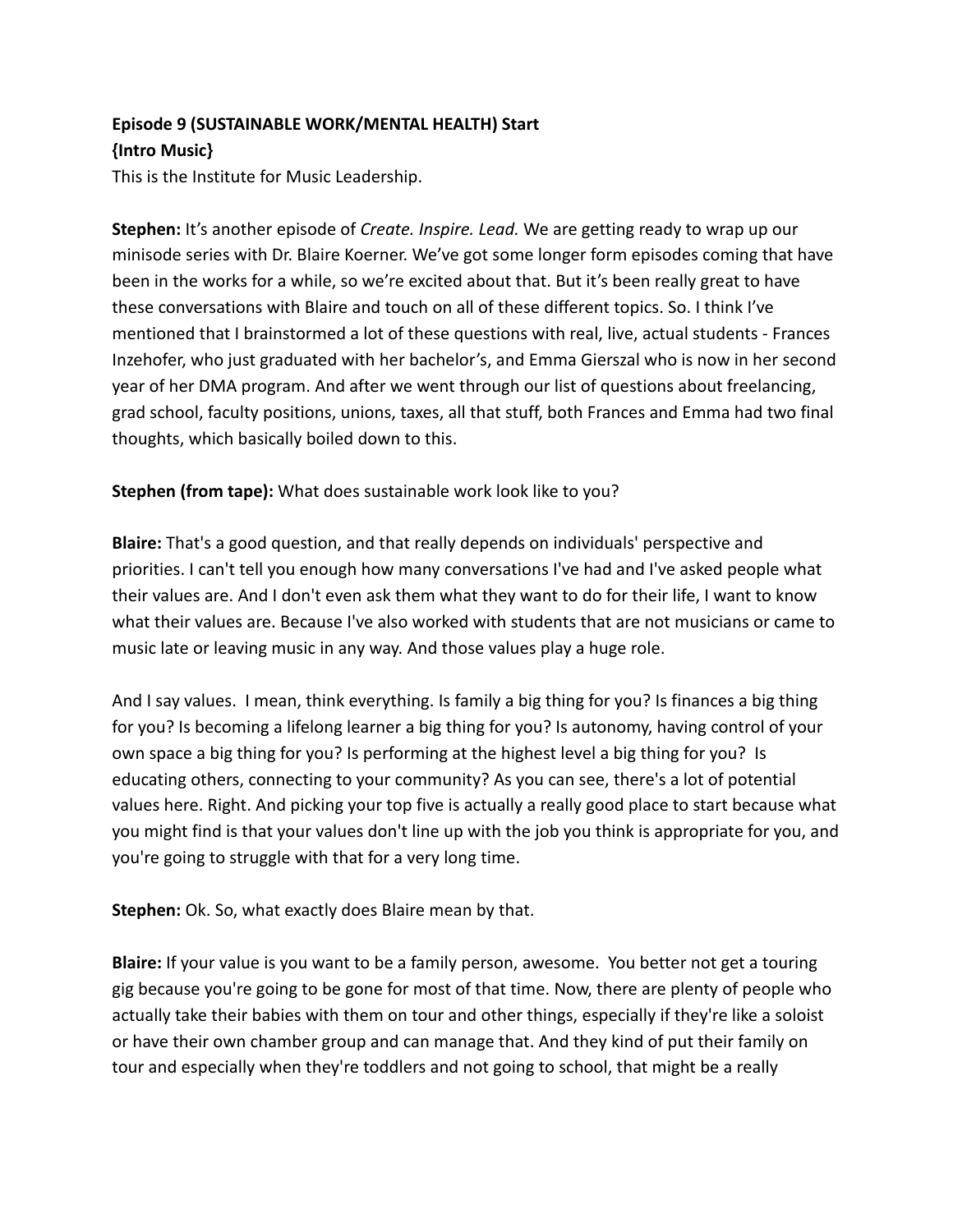## **Episode 9 (SUSTAINABLE WORK/MENTAL HEALTH) Start {Intro Music}**

This is the Institute for Music Leadership.

**Stephen:** It's another episode of *Create. Inspire. Lead.* We are getting ready to wrap up our minisode series with Dr. Blaire Koerner. We've got some longer form episodes coming that have been in the works for a while, so we're excited about that. But it's been really great to have these conversations with Blaire and touch on all of these different topics. So. I think I've mentioned that I brainstormed a lot of these questions with real, live, actual students - Frances Inzehofer, who just graduated with her bachelor's, and Emma Gierszal who is now in her second year of her DMA program. And after we went through our list of questions about freelancing, grad school, faculty positions, unions, taxes, all that stuff, both Frances and Emma had two final thoughts, which basically boiled down to this.

## **Stephen (from tape):** What does sustainable work look like to you?

**Blaire:** That's a good question, and that really depends on individuals' perspective and priorities. I can't tell you enough how many conversations I've had and I've asked people what their values are. And I don't even ask them what they want to do for their life, I want to know what their values are. Because I've also worked with students that are not musicians or came to music late or leaving music in any way. And those values play a huge role.

And I say values. I mean, think everything. Is family a big thing for you? Is finances a big thing for you? Is becoming a lifelong learner a big thing for you? Is autonomy, having control of your own space a big thing for you? Is performing at the highest level a big thing for you? Is educating others, connecting to your community? As you can see, there's a lot of potential values here. Right. And picking your top five is actually a really good place to start because what you might find is that your values don't line up with the job you think is appropriate for you, and you're going to struggle with that for a very long time.

**Stephen:** Ok. So, what exactly does Blaire mean by that.

**Blaire:** If your value is you want to be a family person, awesome. You better not get a touring gig because you're going to be gone for most of that time. Now, there are plenty of people who actually take their babies with them on tour and other things, especially if they're like a soloist or have their own chamber group and can manage that. And they kind of put their family on tour and especially when they're toddlers and not going to school, that might be a really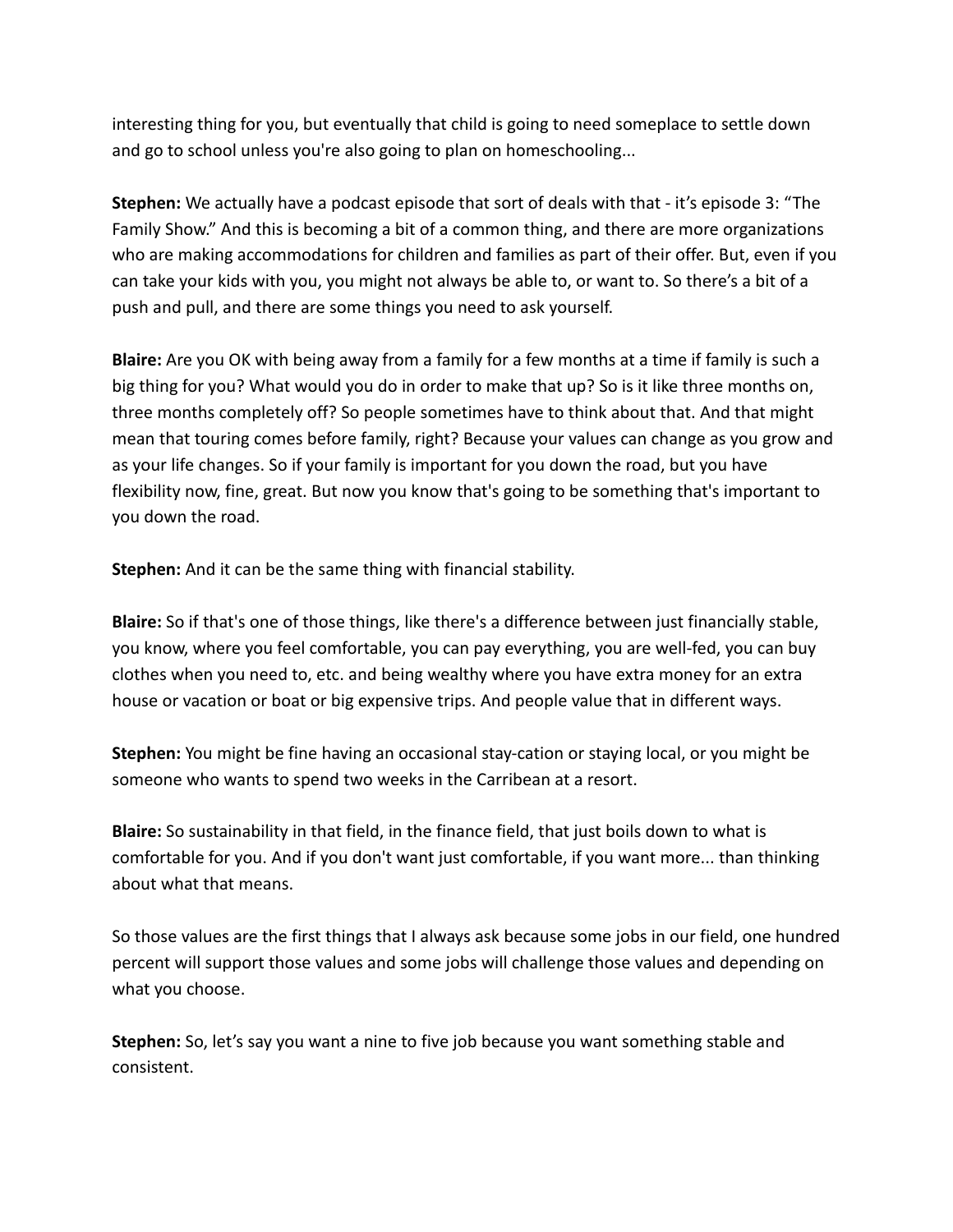interesting thing for you, but eventually that child is going to need someplace to settle down and go to school unless you're also going to plan on homeschooling...

**Stephen:** We actually have a podcast episode that sort of deals with that - it's episode 3: "The Family Show." And this is becoming a bit of a common thing, and there are more organizations who are making accommodations for children and families as part of their offer. But, even if you can take your kids with you, you might not always be able to, or want to. So there's a bit of a push and pull, and there are some things you need to ask yourself.

**Blaire:** Are you OK with being away from a family for a few months at a time if family is such a big thing for you? What would you do in order to make that up? So is it like three months on, three months completely off? So people sometimes have to think about that. And that might mean that touring comes before family, right? Because your values can change as you grow and as your life changes. So if your family is important for you down the road, but you have flexibility now, fine, great. But now you know that's going to be something that's important to you down the road.

**Stephen:** And it can be the same thing with financial stability.

**Blaire:** So if that's one of those things, like there's a difference between just financially stable, you know, where you feel comfortable, you can pay everything, you are well-fed, you can buy clothes when you need to, etc. and being wealthy where you have extra money for an extra house or vacation or boat or big expensive trips. And people value that in different ways.

**Stephen:** You might be fine having an occasional stay-cation or staying local, or you might be someone who wants to spend two weeks in the Carribean at a resort.

**Blaire:** So sustainability in that field, in the finance field, that just boils down to what is comfortable for you. And if you don't want just comfortable, if you want more... than thinking about what that means.

So those values are the first things that I always ask because some jobs in our field, one hundred percent will support those values and some jobs will challenge those values and depending on what you choose.

**Stephen:** So, let's say you want a nine to five job because you want something stable and consistent.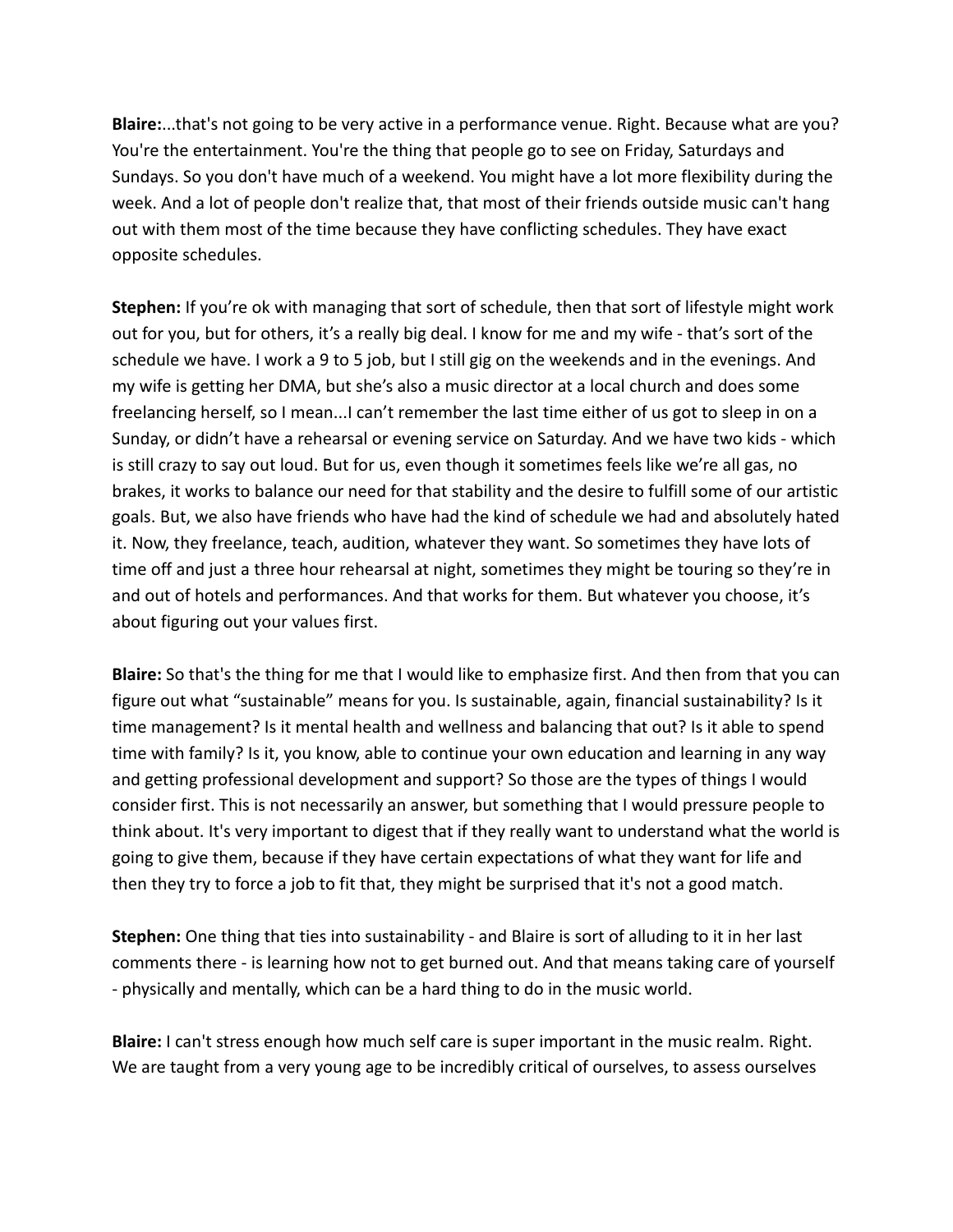**Blaire:**...that's not going to be very active in a performance venue. Right. Because what are you? You're the entertainment. You're the thing that people go to see on Friday, Saturdays and Sundays. So you don't have much of a weekend. You might have a lot more flexibility during the week. And a lot of people don't realize that, that most of their friends outside music can't hang out with them most of the time because they have conflicting schedules. They have exact opposite schedules.

**Stephen:** If you're ok with managing that sort of schedule, then that sort of lifestyle might work out for you, but for others, it's a really big deal. I know for me and my wife - that's sort of the schedule we have. I work a 9 to 5 job, but I still gig on the weekends and in the evenings. And my wife is getting her DMA, but she's also a music director at a local church and does some freelancing herself, so I mean...I can't remember the last time either of us got to sleep in on a Sunday, or didn't have a rehearsal or evening service on Saturday. And we have two kids - which is still crazy to say out loud. But for us, even though it sometimes feels like we're all gas, no brakes, it works to balance our need for that stability and the desire to fulfill some of our artistic goals. But, we also have friends who have had the kind of schedule we had and absolutely hated it. Now, they freelance, teach, audition, whatever they want. So sometimes they have lots of time off and just a three hour rehearsal at night, sometimes they might be touring so they're in and out of hotels and performances. And that works for them. But whatever you choose, it's about figuring out your values first.

**Blaire:** So that's the thing for me that I would like to emphasize first. And then from that you can figure out what "sustainable" means for you. Is sustainable, again, financial sustainability? Is it time management? Is it mental health and wellness and balancing that out? Is it able to spend time with family? Is it, you know, able to continue your own education and learning in any way and getting professional development and support? So those are the types of things I would consider first. This is not necessarily an answer, but something that I would pressure people to think about. It's very important to digest that if they really want to understand what the world is going to give them, because if they have certain expectations of what they want for life and then they try to force a job to fit that, they might be surprised that it's not a good match.

**Stephen:** One thing that ties into sustainability - and Blaire is sort of alluding to it in her last comments there - is learning how not to get burned out. And that means taking care of yourself - physically and mentally, which can be a hard thing to do in the music world.

**Blaire:** I can't stress enough how much self care is super important in the music realm. Right. We are taught from a very young age to be incredibly critical of ourselves, to assess ourselves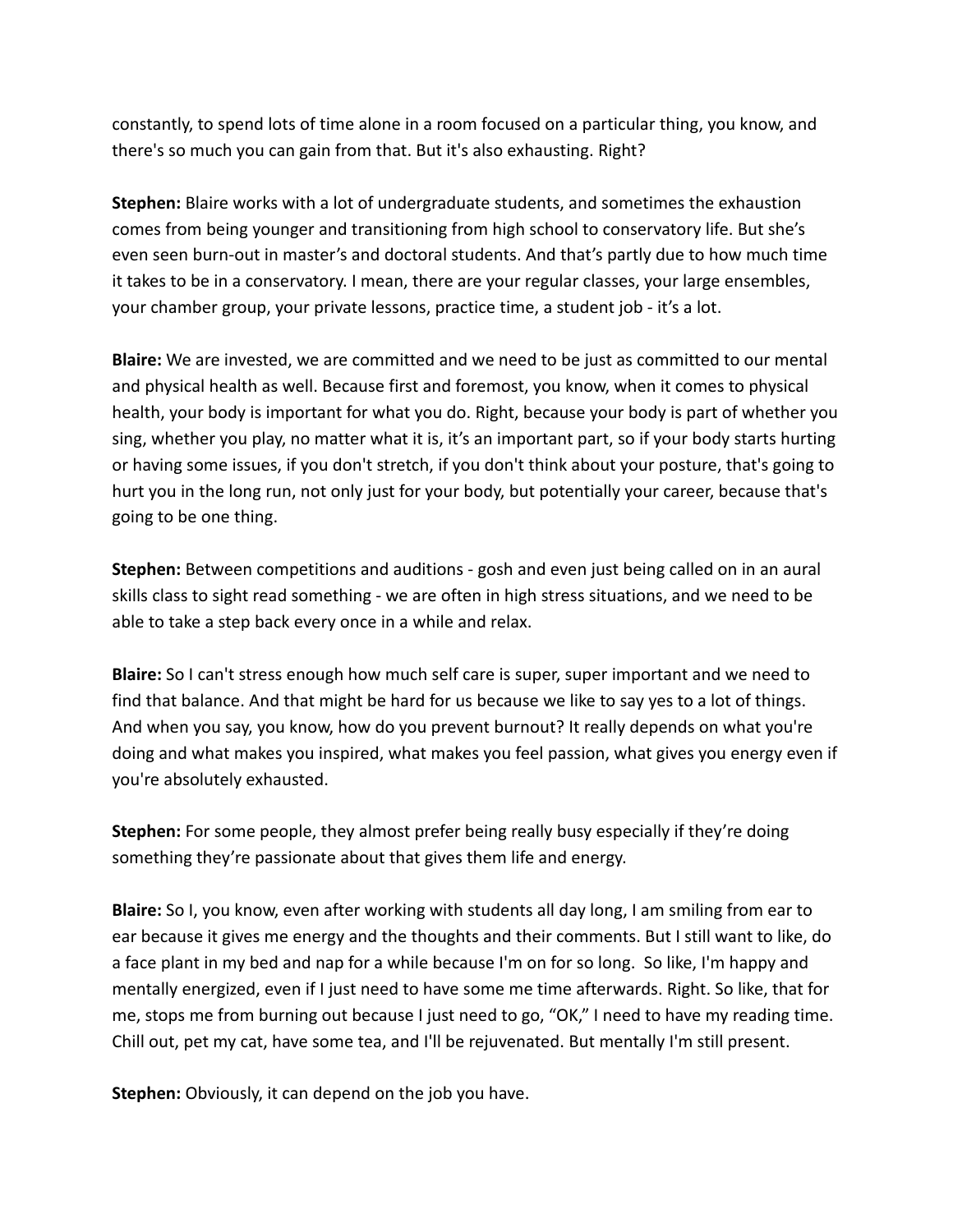constantly, to spend lots of time alone in a room focused on a particular thing, you know, and there's so much you can gain from that. But it's also exhausting. Right?

**Stephen:** Blaire works with a lot of undergraduate students, and sometimes the exhaustion comes from being younger and transitioning from high school to conservatory life. But she's even seen burn-out in master's and doctoral students. And that's partly due to how much time it takes to be in a conservatory. I mean, there are your regular classes, your large ensembles, your chamber group, your private lessons, practice time, a student job - it's a lot.

**Blaire:** We are invested, we are committed and we need to be just as committed to our mental and physical health as well. Because first and foremost, you know, when it comes to physical health, your body is important for what you do. Right, because your body is part of whether you sing, whether you play, no matter what it is, it's an important part, so if your body starts hurting or having some issues, if you don't stretch, if you don't think about your posture, that's going to hurt you in the long run, not only just for your body, but potentially your career, because that's going to be one thing.

**Stephen:** Between competitions and auditions - gosh and even just being called on in an aural skills class to sight read something - we are often in high stress situations, and we need to be able to take a step back every once in a while and relax.

**Blaire:** So I can't stress enough how much self care is super, super important and we need to find that balance. And that might be hard for us because we like to say yes to a lot of things. And when you say, you know, how do you prevent burnout? It really depends on what you're doing and what makes you inspired, what makes you feel passion, what gives you energy even if you're absolutely exhausted.

**Stephen:** For some people, they almost prefer being really busy especially if they're doing something they're passionate about that gives them life and energy.

**Blaire:** So I, you know, even after working with students all day long, I am smiling from ear to ear because it gives me energy and the thoughts and their comments. But I still want to like, do a face plant in my bed and nap for a while because I'm on for so long. So like, I'm happy and mentally energized, even if I just need to have some me time afterwards. Right. So like, that for me, stops me from burning out because I just need to go, "OK," I need to have my reading time. Chill out, pet my cat, have some tea, and I'll be rejuvenated. But mentally I'm still present.

**Stephen:** Obviously, it can depend on the job you have.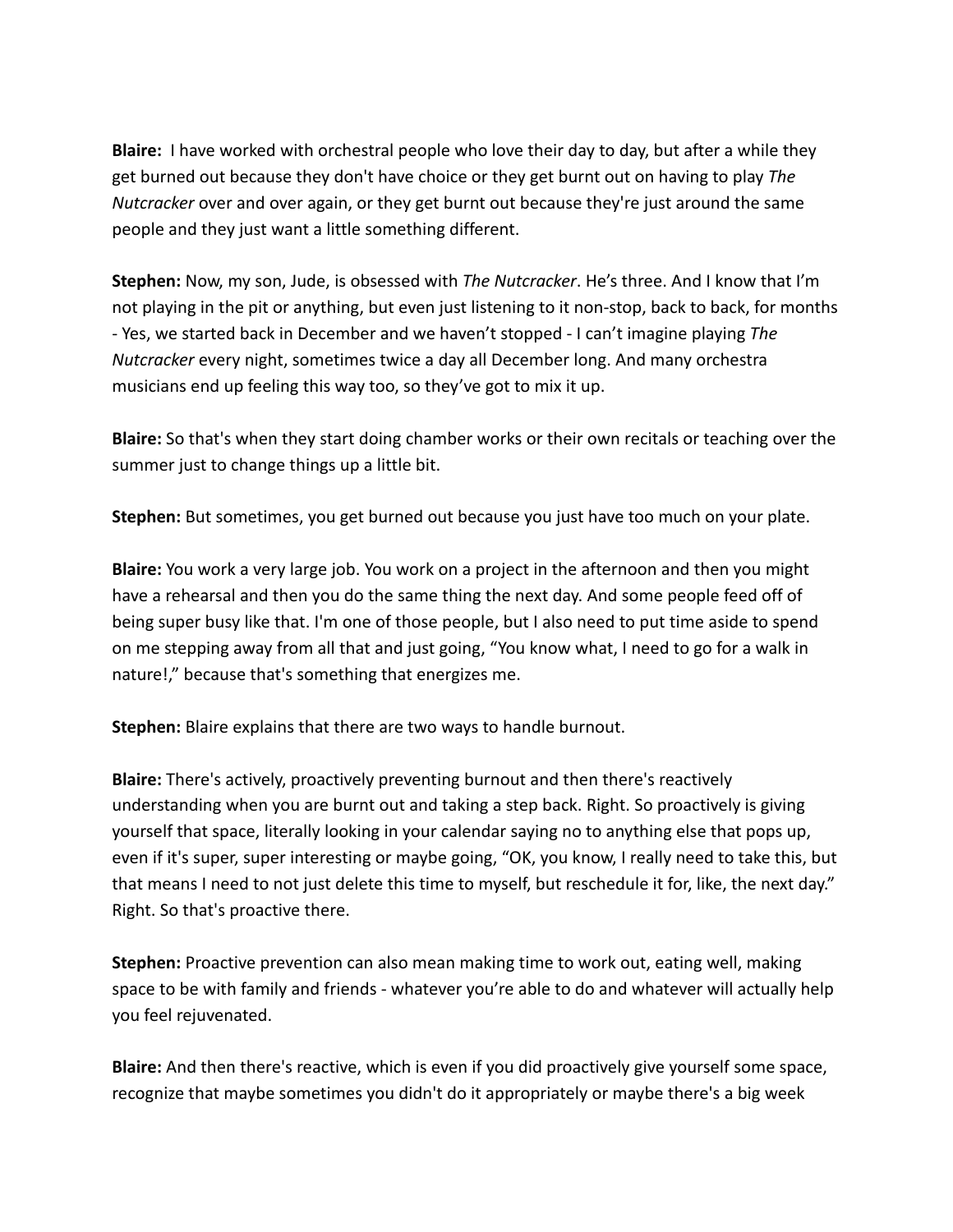**Blaire:** I have worked with orchestral people who love their day to day, but after a while they get burned out because they don't have choice or they get burnt out on having to play *The Nutcracker* over and over again, or they get burnt out because they're just around the same people and they just want a little something different.

**Stephen:** Now, my son, Jude, is obsessed with *The Nutcracker*. He's three. And I know that I'm not playing in the pit or anything, but even just listening to it non-stop, back to back, for months - Yes, we started back in December and we haven't stopped - I can't imagine playing *The Nutcracker* every night, sometimes twice a day all December long. And many orchestra musicians end up feeling this way too, so they've got to mix it up.

**Blaire:** So that's when they start doing chamber works or their own recitals or teaching over the summer just to change things up a little bit.

**Stephen:** But sometimes, you get burned out because you just have too much on your plate.

**Blaire:** You work a very large job. You work on a project in the afternoon and then you might have a rehearsal and then you do the same thing the next day. And some people feed off of being super busy like that. I'm one of those people, but I also need to put time aside to spend on me stepping away from all that and just going, "You know what, I need to go for a walk in nature!," because that's something that energizes me.

**Stephen:** Blaire explains that there are two ways to handle burnout.

**Blaire:** There's actively, proactively preventing burnout and then there's reactively understanding when you are burnt out and taking a step back. Right. So proactively is giving yourself that space, literally looking in your calendar saying no to anything else that pops up, even if it's super, super interesting or maybe going, "OK, you know, I really need to take this, but that means I need to not just delete this time to myself, but reschedule it for, like, the next day." Right. So that's proactive there.

**Stephen:** Proactive prevention can also mean making time to work out, eating well, making space to be with family and friends - whatever you're able to do and whatever will actually help you feel rejuvenated.

**Blaire:** And then there's reactive, which is even if you did proactively give yourself some space, recognize that maybe sometimes you didn't do it appropriately or maybe there's a big week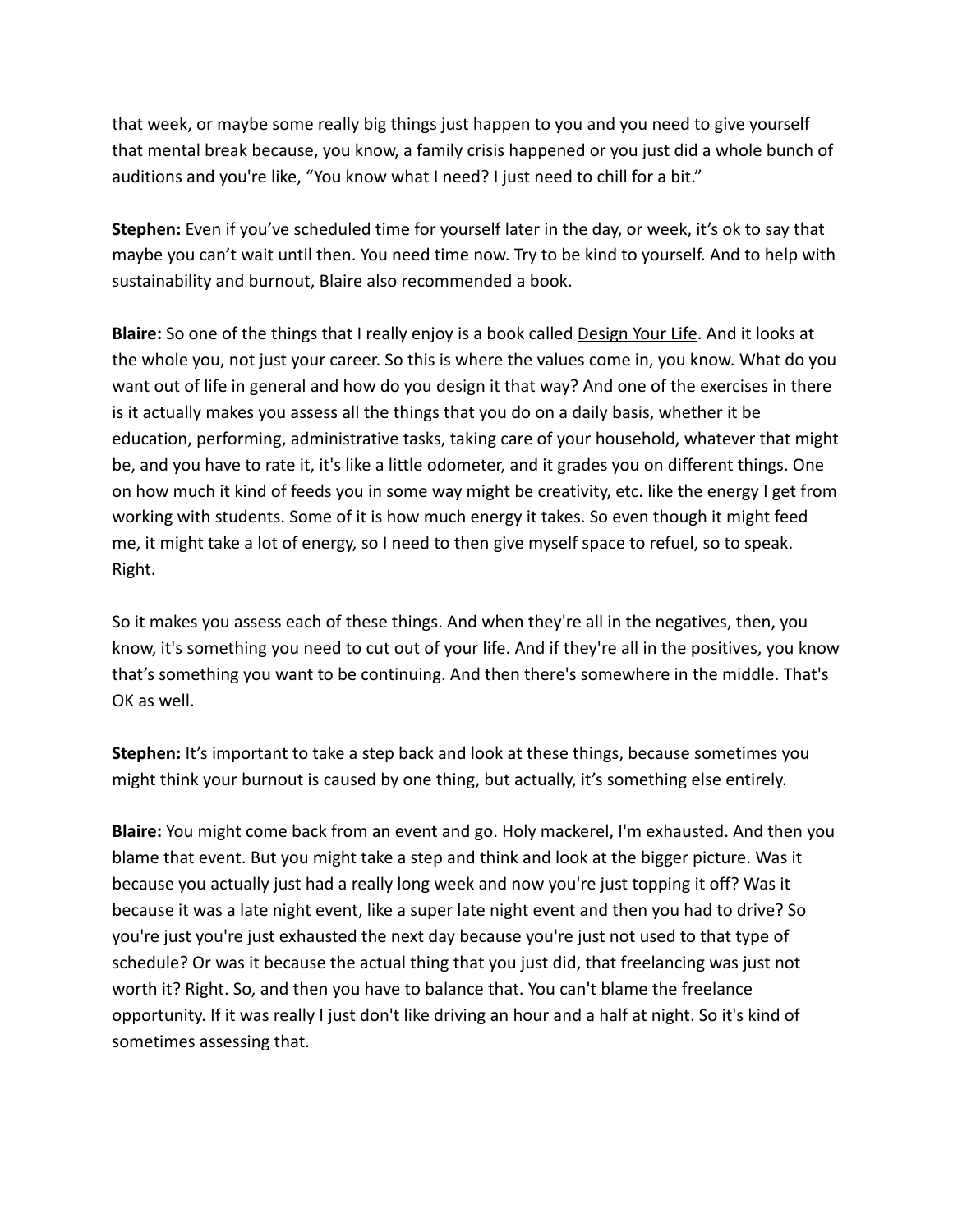that week, or maybe some really big things just happen to you and you need to give yourself that mental break because, you know, a family crisis happened or you just did a whole bunch of auditions and you're like, "You know what I need? I just need to chill for a bit."

**Stephen:** Even if you've scheduled time for yourself later in the day, or week, it's ok to say that maybe you can't wait until then. You need time now. Try to be kind to yourself. And to help with sustainability and burnout, Blaire also recommended a book.

**Blaire:** So one of the things that I really enjoy is a book called Design Your Life. And it looks at the whole you, not just your career. So this is where the values come in, you know. What do you want out of life in general and how do you design it that way? And one of the exercises in there is it actually makes you assess all the things that you do on a daily basis, whether it be education, performing, administrative tasks, taking care of your household, whatever that might be, and you have to rate it, it's like a little odometer, and it grades you on different things. One on how much it kind of feeds you in some way might be creativity, etc. like the energy I get from working with students. Some of it is how much energy it takes. So even though it might feed me, it might take a lot of energy, so I need to then give myself space to refuel, so to speak. Right.

So it makes you assess each of these things. And when they're all in the negatives, then, you know, it's something you need to cut out of your life. And if they're all in the positives, you know that's something you want to be continuing. And then there's somewhere in the middle. That's OK as well.

**Stephen:** It's important to take a step back and look at these things, because sometimes you might think your burnout is caused by one thing, but actually, it's something else entirely.

**Blaire:** You might come back from an event and go. Holy mackerel, I'm exhausted. And then you blame that event. But you might take a step and think and look at the bigger picture. Was it because you actually just had a really long week and now you're just topping it off? Was it because it was a late night event, like a super late night event and then you had to drive? So you're just you're just exhausted the next day because you're just not used to that type of schedule? Or was it because the actual thing that you just did, that freelancing was just not worth it? Right. So, and then you have to balance that. You can't blame the freelance opportunity. If it was really I just don't like driving an hour and a half at night. So it's kind of sometimes assessing that.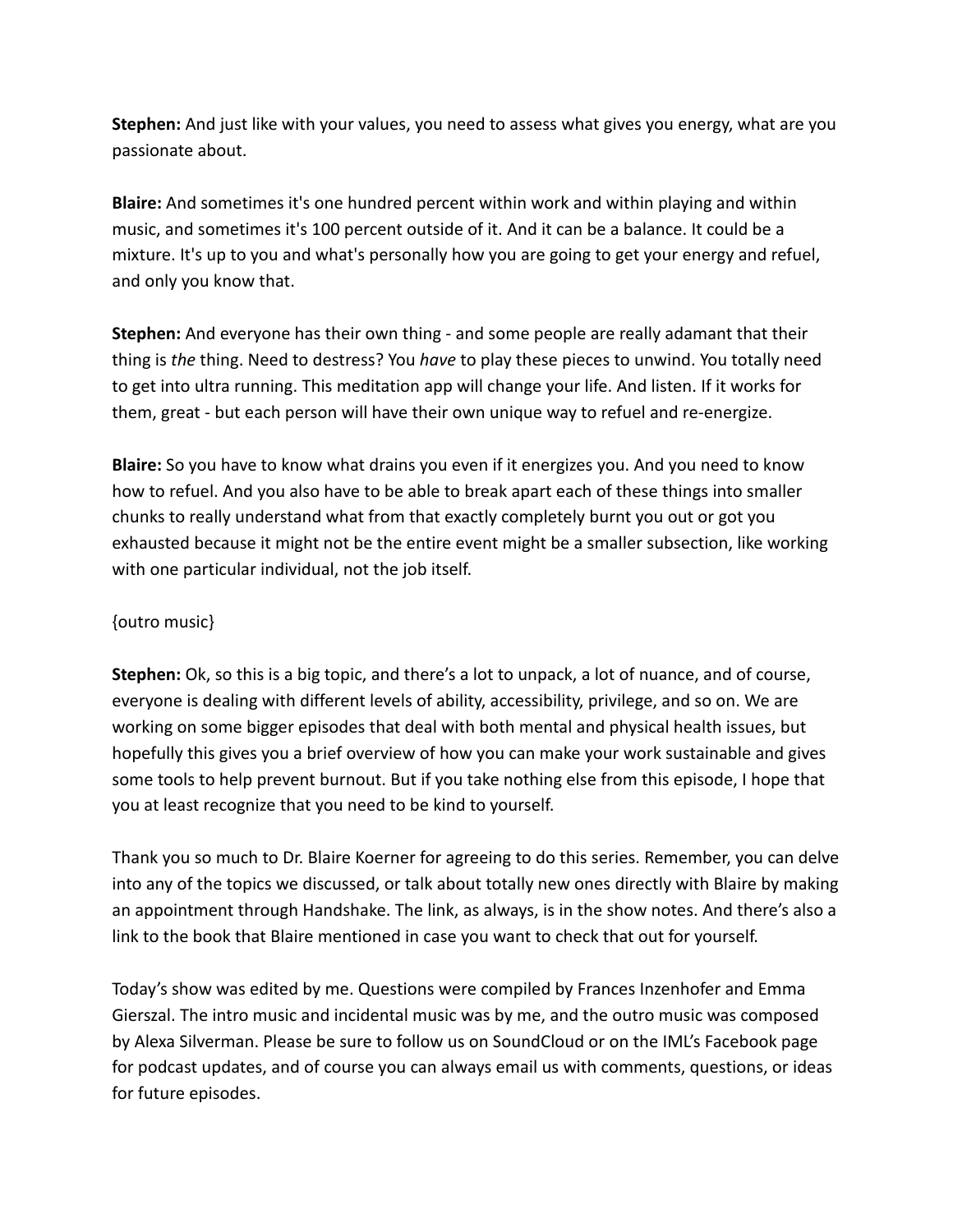**Stephen:** And just like with your values, you need to assess what gives you energy, what are you passionate about.

**Blaire:** And sometimes it's one hundred percent within work and within playing and within music, and sometimes it's 100 percent outside of it. And it can be a balance. It could be a mixture. It's up to you and what's personally how you are going to get your energy and refuel, and only you know that.

**Stephen:** And everyone has their own thing - and some people are really adamant that their thing is *the* thing. Need to destress? You *have* to play these pieces to unwind. You totally need to get into ultra running. This meditation app will change your life. And listen. If it works for them, great - but each person will have their own unique way to refuel and re-energize.

**Blaire:** So you have to know what drains you even if it energizes you. And you need to know how to refuel. And you also have to be able to break apart each of these things into smaller chunks to really understand what from that exactly completely burnt you out or got you exhausted because it might not be the entire event might be a smaller subsection, like working with one particular individual, not the job itself.

## {outro music}

**Stephen:** Ok, so this is a big topic, and there's a lot to unpack, a lot of nuance, and of course, everyone is dealing with different levels of ability, accessibility, privilege, and so on. We are working on some bigger episodes that deal with both mental and physical health issues, but hopefully this gives you a brief overview of how you can make your work sustainable and gives some tools to help prevent burnout. But if you take nothing else from this episode, I hope that you at least recognize that you need to be kind to yourself.

Thank you so much to Dr. Blaire Koerner for agreeing to do this series. Remember, you can delve into any of the topics we discussed, or talk about totally new ones directly with Blaire by making an appointment through Handshake. The link, as always, is in the show notes. And there's also a link to the book that Blaire mentioned in case you want to check that out for yourself.

Today's show was edited by me. Questions were compiled by Frances Inzenhofer and Emma Gierszal. The intro music and incidental music was by me, and the outro music was composed by Alexa Silverman. Please be sure to follow us on SoundCloud or on the IML's Facebook page for podcast updates, and of course you can always email us with comments, questions, or ideas for future episodes.